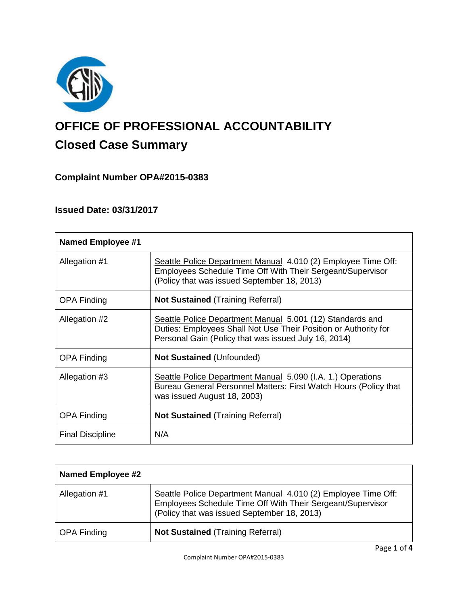

# **OFFICE OF PROFESSIONAL ACCOUNTABILITY Closed Case Summary**

# **Complaint Number OPA#2015-0383**

## **Issued Date: 03/31/2017**

| <b>Named Employee #1</b> |                                                                                                                                                                                      |
|--------------------------|--------------------------------------------------------------------------------------------------------------------------------------------------------------------------------------|
| Allegation #1            | Seattle Police Department Manual 4.010 (2) Employee Time Off:<br>Employees Schedule Time Off With Their Sergeant/Supervisor<br>(Policy that was issued September 18, 2013)           |
| <b>OPA Finding</b>       | <b>Not Sustained (Training Referral)</b>                                                                                                                                             |
| Allegation #2            | Seattle Police Department Manual 5.001 (12) Standards and<br>Duties: Employees Shall Not Use Their Position or Authority for<br>Personal Gain (Policy that was issued July 16, 2014) |
| <b>OPA Finding</b>       | <b>Not Sustained (Unfounded)</b>                                                                                                                                                     |
| Allegation #3            | Seattle Police Department Manual 5.090 (I.A. 1.) Operations<br>Bureau General Personnel Matters: First Watch Hours (Policy that<br>was issued August 18, 2003)                       |
| <b>OPA Finding</b>       | <b>Not Sustained (Training Referral)</b>                                                                                                                                             |
| <b>Final Discipline</b>  | N/A                                                                                                                                                                                  |

| <b>Named Employee #2</b> |                                                                                                                                                                            |
|--------------------------|----------------------------------------------------------------------------------------------------------------------------------------------------------------------------|
| Allegation #1            | Seattle Police Department Manual 4.010 (2) Employee Time Off:<br>Employees Schedule Time Off With Their Sergeant/Supervisor<br>(Policy that was issued September 18, 2013) |
| <b>OPA Finding</b>       | <b>Not Sustained (Training Referral)</b>                                                                                                                                   |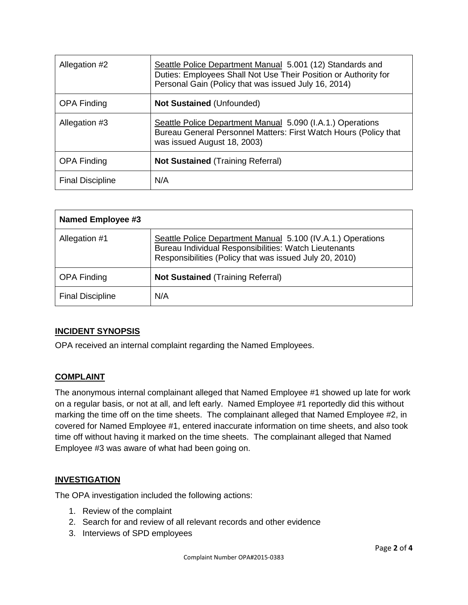| Allegation #2           | Seattle Police Department Manual 5.001 (12) Standards and<br>Duties: Employees Shall Not Use Their Position or Authority for<br>Personal Gain (Policy that was issued July 16, 2014) |
|-------------------------|--------------------------------------------------------------------------------------------------------------------------------------------------------------------------------------|
| <b>OPA Finding</b>      | <b>Not Sustained (Unfounded)</b>                                                                                                                                                     |
| Allegation #3           | Seattle Police Department Manual 5.090 (I.A.1.) Operations<br>Bureau General Personnel Matters: First Watch Hours (Policy that<br>was issued August 18, 2003)                        |
| <b>OPA Finding</b>      | <b>Not Sustained (Training Referral)</b>                                                                                                                                             |
| <b>Final Discipline</b> | N/A                                                                                                                                                                                  |

| Named Employee #3       |                                                                                                                                                                                 |
|-------------------------|---------------------------------------------------------------------------------------------------------------------------------------------------------------------------------|
| Allegation #1           | Seattle Police Department Manual 5.100 (IV.A.1.) Operations<br>Bureau Individual Responsibilities: Watch Lieutenants<br>Responsibilities (Policy that was issued July 20, 2010) |
| <b>OPA Finding</b>      | <b>Not Sustained (Training Referral)</b>                                                                                                                                        |
| <b>Final Discipline</b> | N/A                                                                                                                                                                             |

## **INCIDENT SYNOPSIS**

OPA received an internal complaint regarding the Named Employees.

## **COMPLAINT**

The anonymous internal complainant alleged that Named Employee #1 showed up late for work on a regular basis, or not at all, and left early. Named Employee #1 reportedly did this without marking the time off on the time sheets. The complainant alleged that Named Employee #2, in covered for Named Employee #1, entered inaccurate information on time sheets, and also took time off without having it marked on the time sheets. The complainant alleged that Named Employee #3 was aware of what had been going on.

## **INVESTIGATION**

The OPA investigation included the following actions:

- 1. Review of the complaint
- 2. Search for and review of all relevant records and other evidence
- 3. Interviews of SPD employees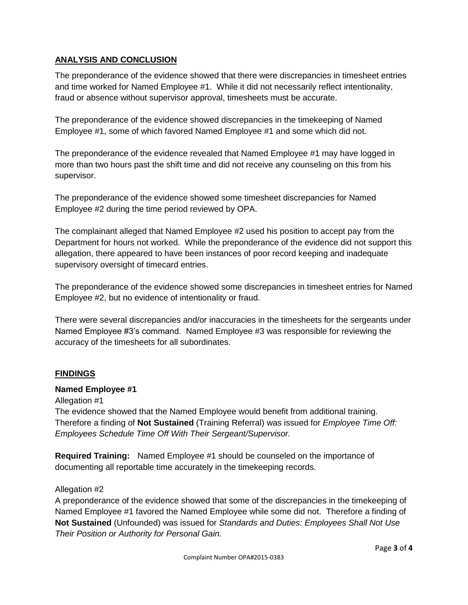## **ANALYSIS AND CONCLUSION**

The preponderance of the evidence showed that there were discrepancies in timesheet entries and time worked for Named Employee #1. While it did not necessarily reflect intentionality, fraud or absence without supervisor approval, timesheets must be accurate.

The preponderance of the evidence showed discrepancies in the timekeeping of Named Employee #1, some of which favored Named Employee #1 and some which did not.

The preponderance of the evidence revealed that Named Employee #1 may have logged in more than two hours past the shift time and did not receive any counseling on this from his supervisor.

The preponderance of the evidence showed some timesheet discrepancies for Named Employee #2 during the time period reviewed by OPA.

The complainant alleged that Named Employee #2 used his position to accept pay from the Department for hours not worked. While the preponderance of the evidence did not support this allegation, there appeared to have been instances of poor record keeping and inadequate supervisory oversight of timecard entries.

The preponderance of the evidence showed some discrepancies in timesheet entries for Named Employee #2, but no evidence of intentionality or fraud.

There were several discrepancies and/or inaccuracies in the timesheets for the sergeants under Named Employee #3's command. Named Employee #3 was responsible for reviewing the accuracy of the timesheets for all subordinates.

## **FINDINGS**

## **Named Employee #1**

Allegation #1

The evidence showed that the Named Employee would benefit from additional training. Therefore a finding of **Not Sustained** (Training Referral) was issued for *Employee Time Off: Employees Schedule Time Off With Their Sergeant/Supervisor.*

**Required Training:** Named Employee #1 should be counseled on the importance of documenting all reportable time accurately in the timekeeping records.

## Allegation #2

A preponderance of the evidence showed that some of the discrepancies in the timekeeping of Named Employee #1 favored the Named Employee while some did not. Therefore a finding of **Not Sustained** (Unfounded) was issued for *Standards and Duties: Employees Shall Not Use Their Position or Authority for Personal Gain.*